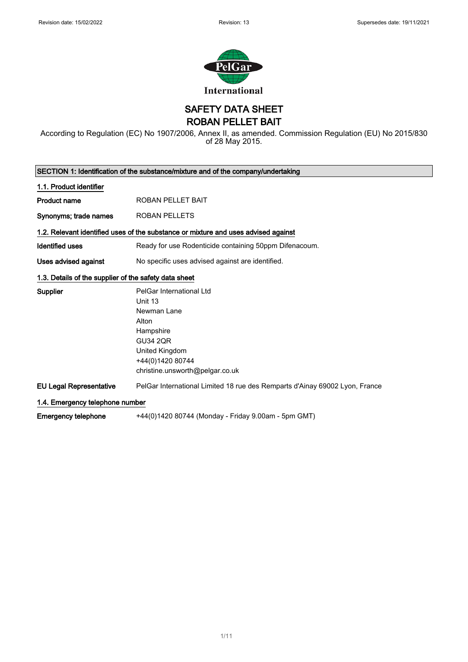

SAFETY DATA SHEET

ROBAN PELLET BAIT

According to Regulation (EC) No 1907/2006, Annex II, as amended. Commission Regulation (EU) No 2015/830 of 28 May 2015.

| SECTION 1: Identification of the substance/mixture and of the company/undertaking |                                                                                                                                                                      |  |
|-----------------------------------------------------------------------------------|----------------------------------------------------------------------------------------------------------------------------------------------------------------------|--|
| 1.1. Product identifier                                                           |                                                                                                                                                                      |  |
| <b>Product name</b>                                                               | ROBAN PELLET BAIT                                                                                                                                                    |  |
| Synonyms; trade names                                                             | <b>ROBAN PELLETS</b>                                                                                                                                                 |  |
|                                                                                   | 1.2. Relevant identified uses of the substance or mixture and uses advised against                                                                                   |  |
| <b>Identified uses</b>                                                            | Ready for use Rodenticide containing 50ppm Difenacoum.                                                                                                               |  |
| Uses advised against                                                              | No specific uses advised against are identified.                                                                                                                     |  |
| 1.3. Details of the supplier of the safety data sheet                             |                                                                                                                                                                      |  |
| <b>Supplier</b>                                                                   | PelGar International Ltd<br>Unit 13<br>Newman Lane<br>Alton<br>Hampshire<br><b>GU34 2OR</b><br>United Kingdom<br>+44(0)1420 80744<br>christine.unsworth@pelgar.co.uk |  |
| <b>EU Legal Representative</b>                                                    | PelGar International Limited 18 rue des Remparts d'Ainay 69002 Lyon, France                                                                                          |  |
| 1.4. Emergency telephone number                                                   |                                                                                                                                                                      |  |
| Emergency telephone                                                               | +44(0)1420 80744 (Monday - Friday 9.00am - 5pm GMT)                                                                                                                  |  |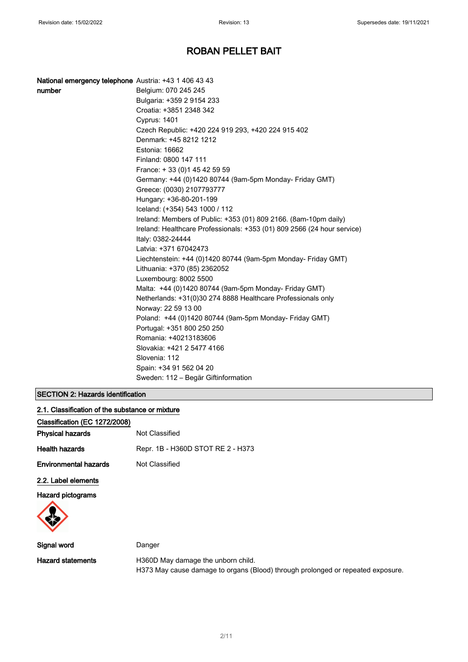| National emergency telephone Austria: +43 1 406 43 43 |                                                                         |
|-------------------------------------------------------|-------------------------------------------------------------------------|
| number                                                | Belgium: 070 245 245                                                    |
|                                                       | Bulgaria: +359 2 9154 233                                               |
|                                                       | Croatia: +3851 2348 342                                                 |
|                                                       | Cyprus: 1401                                                            |
|                                                       | Czech Republic: +420 224 919 293, +420 224 915 402                      |
|                                                       | Denmark: +45 8212 1212                                                  |
|                                                       | Estonia: 16662                                                          |
|                                                       | Finland: 0800 147 111                                                   |
|                                                       | France: +33 (0) 145 42 59 59                                            |
|                                                       | Germany: +44 (0)1420 80744 (9am-5pm Monday- Friday GMT)                 |
|                                                       | Greece: (0030) 2107793777                                               |
|                                                       | Hungary: +36-80-201-199                                                 |
|                                                       | Iceland: (+354) 543 1000 / 112                                          |
|                                                       | Ireland: Members of Public: +353 (01) 809 2166. (8am-10pm daily)        |
|                                                       | Ireland: Healthcare Professionals: +353 (01) 809 2566 (24 hour service) |
|                                                       | Italy: 0382-24444                                                       |
|                                                       | Latvia: +371 67042473                                                   |
|                                                       | Liechtenstein: +44 (0)1420 80744 (9am-5pm Monday- Friday GMT)           |
|                                                       | Lithuania: +370 (85) 2362052                                            |
|                                                       | Luxembourg: 8002 5500                                                   |
|                                                       | Malta: +44 (0)1420 80744 (9am-5pm Monday- Friday GMT)                   |
|                                                       | Netherlands: +31(0)30 274 8888 Healthcare Professionals only            |
|                                                       | Norway: 22 59 13 00                                                     |
|                                                       | Poland: +44 (0)1420 80744 (9am-5pm Monday- Friday GMT)                  |
|                                                       | Portugal: +351 800 250 250                                              |
|                                                       | Romania: +40213183606                                                   |
|                                                       | Slovakia: +421 2 5477 4166                                              |
|                                                       | Slovenia: 112                                                           |
|                                                       | Spain: +34 91 562 04 20                                                 |
|                                                       | Sweden: 112 – Begär Giftinformation                                     |

## SECTION 2: Hazards identification

| 2.1. Classification of the substance or mixture |                                   |  |
|-------------------------------------------------|-----------------------------------|--|
| Classification (EC 1272/2008)                   |                                   |  |
| <b>Physical hazards</b>                         | Not Classified                    |  |
| <b>Health hazards</b>                           | Repr. 1B - H360D STOT RE 2 - H373 |  |
| <b>Environmental hazards</b>                    | Not Classified                    |  |
| 2.2. Label elements                             |                                   |  |
| <b>Hazard pictograms</b>                        |                                   |  |
|                                                 |                                   |  |
| Signal word                                     | Danger                            |  |

| Signal word       | Danger                                                                          |
|-------------------|---------------------------------------------------------------------------------|
| Hazard statements | H360D May damage the unborn child.                                              |
|                   | H373 May cause damage to organs (Blood) through prolonged or repeated exposure. |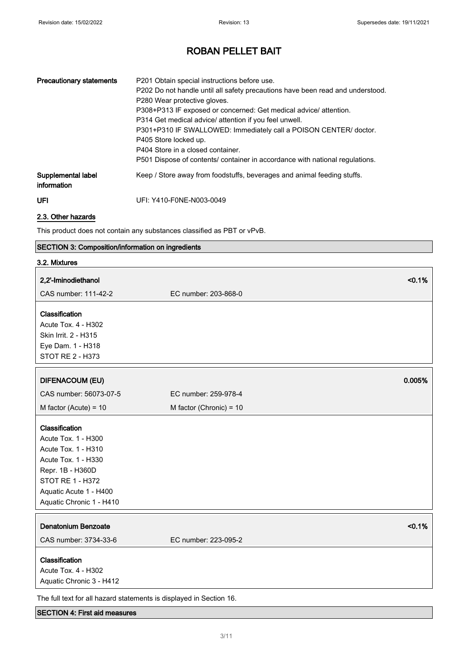| <b>Precautionary statements</b>   | P201 Obtain special instructions before use.<br>P202 Do not handle until all safety precautions have been read and understood.<br>P280 Wear protective gloves.<br>P308+P313 IF exposed or concerned: Get medical advice/ attention.<br>P314 Get medical advice/ attention if you feel unwell.<br>P301+P310 IF SWALLOWED: Immediately call a POISON CENTER/ doctor.<br>P405 Store locked up.<br>P404 Store in a closed container.<br>P501 Dispose of contents/ container in accordance with national regulations. |
|-----------------------------------|------------------------------------------------------------------------------------------------------------------------------------------------------------------------------------------------------------------------------------------------------------------------------------------------------------------------------------------------------------------------------------------------------------------------------------------------------------------------------------------------------------------|
| Supplemental label<br>information | Keep / Store away from foodstuffs, beverages and animal feeding stuffs.                                                                                                                                                                                                                                                                                                                                                                                                                                          |
| <b>UFI</b>                        | UFI: Y410-F0NE-N003-0049                                                                                                                                                                                                                                                                                                                                                                                                                                                                                         |

2.3. Other hazards

This product does not contain any substances classified as PBT or vPvB.

## SECTION 3: Composition/information on ingredients

| 3.2. Mixtures                                                       |                           |
|---------------------------------------------------------------------|---------------------------|
| 2,2'-Iminodiethanol                                                 | < 0.1%                    |
| CAS number: 111-42-2                                                | EC number: 203-868-0      |
| Classification                                                      |                           |
| Acute Tox. 4 - H302                                                 |                           |
| Skin Irrit. 2 - H315                                                |                           |
| Eye Dam. 1 - H318                                                   |                           |
| STOT RE 2 - H373                                                    |                           |
|                                                                     |                           |
| <b>DIFENACOUM (EU)</b>                                              | 0.005%                    |
| CAS number: 56073-07-5                                              | EC number: 259-978-4      |
| M factor (Acute) = $10$                                             | M factor (Chronic) = $10$ |
| Classification                                                      |                           |
| Acute Tox. 1 - H300                                                 |                           |
| Acute Tox. 1 - H310                                                 |                           |
| Acute Tox. 1 - H330                                                 |                           |
| Repr. 1B - H360D                                                    |                           |
| STOT RE 1 - H372                                                    |                           |
| Aquatic Acute 1 - H400                                              |                           |
| Aquatic Chronic 1 - H410                                            |                           |
|                                                                     |                           |
| <b>Denatonium Benzoate</b>                                          | < 0.1%                    |
| CAS number: 3734-33-6                                               | EC number: 223-095-2      |
| Classification                                                      |                           |
| Acute Tox. 4 - H302                                                 |                           |
| Aquatic Chronic 3 - H412                                            |                           |
| The full text for all hazard statements is displayed in Section 16. |                           |

## SECTION 4: First aid measures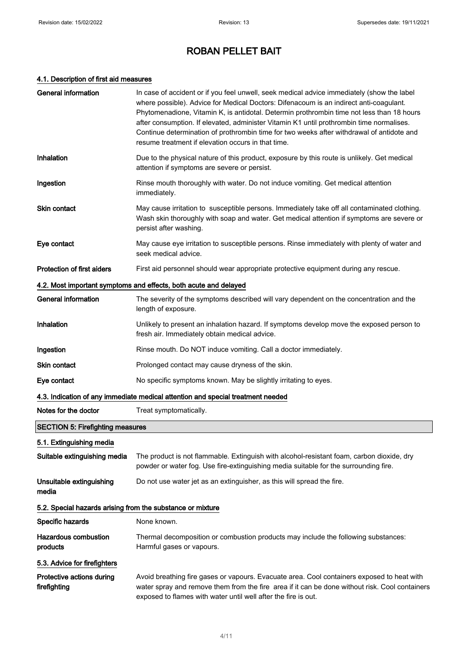## 4.1. Description of first aid measures

| <b>General information</b>                                       | In case of accident or if you feel unwell, seek medical advice immediately (show the label<br>where possible). Advice for Medical Doctors: Difenacoum is an indirect anti-coagulant.<br>Phytomenadione, Vitamin K, is antidotal. Determin prothrombin time not less than 18 hours<br>after consumption. If elevated, administer Vitamin K1 until prothrombin time normalises.<br>Continue determination of prothrombin time for two weeks after withdrawal of antidote and<br>resume treatment if elevation occurs in that time. |  |
|------------------------------------------------------------------|----------------------------------------------------------------------------------------------------------------------------------------------------------------------------------------------------------------------------------------------------------------------------------------------------------------------------------------------------------------------------------------------------------------------------------------------------------------------------------------------------------------------------------|--|
| Inhalation                                                       | Due to the physical nature of this product, exposure by this route is unlikely. Get medical<br>attention if symptoms are severe or persist.                                                                                                                                                                                                                                                                                                                                                                                      |  |
| Ingestion                                                        | Rinse mouth thoroughly with water. Do not induce vomiting. Get medical attention<br>immediately.                                                                                                                                                                                                                                                                                                                                                                                                                                 |  |
| <b>Skin contact</b>                                              | May cause irritation to susceptible persons. Immediately take off all contaminated clothing.<br>Wash skin thoroughly with soap and water. Get medical attention if symptoms are severe or<br>persist after washing.                                                                                                                                                                                                                                                                                                              |  |
| Eye contact                                                      | May cause eye irritation to susceptible persons. Rinse immediately with plenty of water and<br>seek medical advice.                                                                                                                                                                                                                                                                                                                                                                                                              |  |
| Protection of first aiders                                       | First aid personnel should wear appropriate protective equipment during any rescue.                                                                                                                                                                                                                                                                                                                                                                                                                                              |  |
| 4.2. Most important symptoms and effects, both acute and delayed |                                                                                                                                                                                                                                                                                                                                                                                                                                                                                                                                  |  |
| <b>General information</b>                                       | The severity of the symptoms described will vary dependent on the concentration and the<br>length of exposure.                                                                                                                                                                                                                                                                                                                                                                                                                   |  |
| Inhalation                                                       | Unlikely to present an inhalation hazard. If symptoms develop move the exposed person to<br>fresh air. Immediately obtain medical advice.                                                                                                                                                                                                                                                                                                                                                                                        |  |
| Ingestion                                                        | Rinse mouth. Do NOT induce vomiting. Call a doctor immediately.                                                                                                                                                                                                                                                                                                                                                                                                                                                                  |  |
| <b>Skin contact</b>                                              | Prolonged contact may cause dryness of the skin.                                                                                                                                                                                                                                                                                                                                                                                                                                                                                 |  |
| Eye contact                                                      | No specific symptoms known. May be slightly irritating to eyes.                                                                                                                                                                                                                                                                                                                                                                                                                                                                  |  |
|                                                                  | 4.3. Indication of any immediate medical attention and special treatment needed                                                                                                                                                                                                                                                                                                                                                                                                                                                  |  |
| Notes for the doctor                                             | Treat symptomatically.                                                                                                                                                                                                                                                                                                                                                                                                                                                                                                           |  |
| <b>SECTION 5: Firefighting measures</b>                          |                                                                                                                                                                                                                                                                                                                                                                                                                                                                                                                                  |  |
| 5.1. Extinguishing media                                         |                                                                                                                                                                                                                                                                                                                                                                                                                                                                                                                                  |  |
| Suitable extinguishing media                                     | The product is not flammable. Extinguish with alcohol-resistant foam, carbon dioxide, dry<br>powder or water fog. Use fire-extinguishing media suitable for the surrounding fire.                                                                                                                                                                                                                                                                                                                                                |  |
| Unsuitable extinguishing<br>media                                | Do not use water jet as an extinguisher, as this will spread the fire.                                                                                                                                                                                                                                                                                                                                                                                                                                                           |  |
| 5.2. Special hazards arising from the substance or mixture       |                                                                                                                                                                                                                                                                                                                                                                                                                                                                                                                                  |  |
| Specific hazards                                                 | None known.                                                                                                                                                                                                                                                                                                                                                                                                                                                                                                                      |  |
| Hazardous combustion<br>products                                 | Thermal decomposition or combustion products may include the following substances:<br>Harmful gases or vapours.                                                                                                                                                                                                                                                                                                                                                                                                                  |  |
| 5.3. Advice for firefighters                                     |                                                                                                                                                                                                                                                                                                                                                                                                                                                                                                                                  |  |
| Protective actions during<br>firefighting                        | Avoid breathing fire gases or vapours. Evacuate area. Cool containers exposed to heat with<br>water spray and remove them from the fire area if it can be done without risk. Cool containers<br>exposed to flames with water until well after the fire is out.                                                                                                                                                                                                                                                                   |  |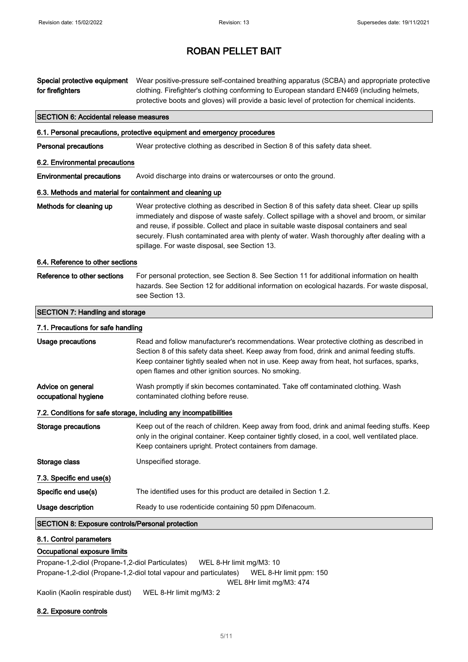| Special protective equipment<br>for firefighters          | Wear positive-pressure self-contained breathing apparatus (SCBA) and appropriate protective<br>clothing. Firefighter's clothing conforming to European standard EN469 (including helmets,<br>protective boots and gloves) will provide a basic level of protection for chemical incidents.                                                                                                                                                  |  |
|-----------------------------------------------------------|---------------------------------------------------------------------------------------------------------------------------------------------------------------------------------------------------------------------------------------------------------------------------------------------------------------------------------------------------------------------------------------------------------------------------------------------|--|
| <b>SECTION 6: Accidental release measures</b>             |                                                                                                                                                                                                                                                                                                                                                                                                                                             |  |
|                                                           | 6.1. Personal precautions, protective equipment and emergency procedures                                                                                                                                                                                                                                                                                                                                                                    |  |
| <b>Personal precautions</b>                               | Wear protective clothing as described in Section 8 of this safety data sheet.                                                                                                                                                                                                                                                                                                                                                               |  |
| 6.2. Environmental precautions                            |                                                                                                                                                                                                                                                                                                                                                                                                                                             |  |
| <b>Environmental precautions</b>                          | Avoid discharge into drains or watercourses or onto the ground.                                                                                                                                                                                                                                                                                                                                                                             |  |
| 6.3. Methods and material for containment and cleaning up |                                                                                                                                                                                                                                                                                                                                                                                                                                             |  |
| Methods for cleaning up                                   | Wear protective clothing as described in Section 8 of this safety data sheet. Clear up spills<br>immediately and dispose of waste safely. Collect spillage with a shovel and broom, or similar<br>and reuse, if possible. Collect and place in suitable waste disposal containers and seal<br>securely. Flush contaminated area with plenty of water. Wash thoroughly after dealing with a<br>spillage. For waste disposal, see Section 13. |  |
| 6.4. Reference to other sections                          |                                                                                                                                                                                                                                                                                                                                                                                                                                             |  |
| Reference to other sections                               | For personal protection, see Section 8. See Section 11 for additional information on health<br>hazards. See Section 12 for additional information on ecological hazards. For waste disposal,<br>see Section 13.                                                                                                                                                                                                                             |  |
| <b>SECTION 7: Handling and storage</b>                    |                                                                                                                                                                                                                                                                                                                                                                                                                                             |  |
| 7.1. Precautions for safe handling                        |                                                                                                                                                                                                                                                                                                                                                                                                                                             |  |
| Usage precautions                                         | Read and follow manufacturer's recommendations. Wear protective clothing as described in<br>Section 8 of this safety data sheet. Keep away from food, drink and animal feeding stuffs.<br>Keep container tightly sealed when not in use. Keep away from heat, hot surfaces, sparks,<br>open flames and other ignition sources. No smoking.                                                                                                  |  |
| Advice on general<br>occupational hygiene                 | Wash promptly if skin becomes contaminated. Take off contaminated clothing. Wash<br>contaminated clothing before reuse.                                                                                                                                                                                                                                                                                                                     |  |
|                                                           | 7.2. Conditions for safe storage, including any incompatibilities                                                                                                                                                                                                                                                                                                                                                                           |  |
| <b>Storage precautions</b>                                | Keep out of the reach of children. Keep away from food, drink and animal feeding stuffs. Keep<br>only in the original container. Keep container tightly closed, in a cool, well ventilated place.<br>Keep containers upright. Protect containers from damage.                                                                                                                                                                               |  |
| Storage class                                             | Unspecified storage.                                                                                                                                                                                                                                                                                                                                                                                                                        |  |
| 7.3. Specific end use(s)                                  |                                                                                                                                                                                                                                                                                                                                                                                                                                             |  |
| Specific end use(s)                                       | The identified uses for this product are detailed in Section 1.2.                                                                                                                                                                                                                                                                                                                                                                           |  |
| Usage description                                         | Ready to use rodenticide containing 50 ppm Difenacoum.                                                                                                                                                                                                                                                                                                                                                                                      |  |
| <b>SECTION 8: Exposure controls/Personal protection</b>   |                                                                                                                                                                                                                                                                                                                                                                                                                                             |  |
| 8.1. Control parameters                                   |                                                                                                                                                                                                                                                                                                                                                                                                                                             |  |
| Occupational exposure limits                              |                                                                                                                                                                                                                                                                                                                                                                                                                                             |  |

Propane-1,2-diol (Propane-1,2-diol Particulates) WEL 8-Hr limit mg/M3: 10 Propane-1,2-diol (Propane-1,2-diol total vapour and particulates) WEL 8-Hr limit ppm: 150 WEL 8Hr limit mg/M3: 474 Kaolin (Kaolin respirable dust) WEL 8-Hr limit mg/M3: 2

## 8.2. Exposure controls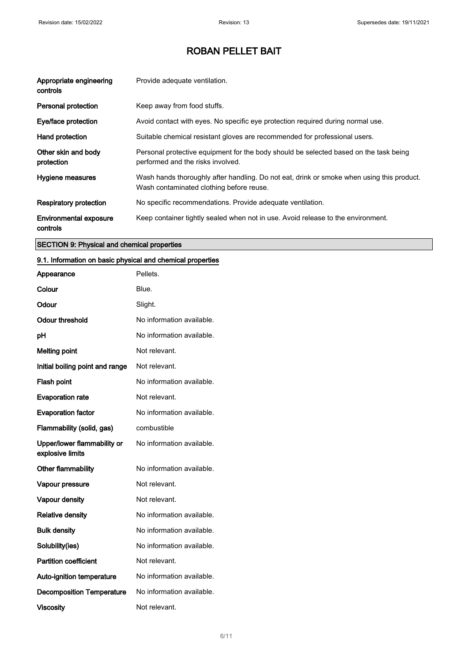| Appropriate engineering<br>controls       | Provide adequate ventilation.                                                                                                         |
|-------------------------------------------|---------------------------------------------------------------------------------------------------------------------------------------|
| Personal protection                       | Keep away from food stuffs.                                                                                                           |
| Eye/face protection                       | Avoid contact with eyes. No specific eye protection required during normal use.                                                       |
| Hand protection                           | Suitable chemical resistant gloves are recommended for professional users.                                                            |
| Other skin and body<br>protection         | Personal protective equipment for the body should be selected based on the task being<br>performed and the risks involved.            |
| Hygiene measures                          | Wash hands thoroughly after handling. Do not eat, drink or smoke when using this product.<br>Wash contaminated clothing before reuse. |
| <b>Respiratory protection</b>             | No specific recommendations. Provide adequate ventilation.                                                                            |
| <b>Environmental exposure</b><br>controls | Keep container tightly sealed when not in use. Avoid release to the environment.                                                      |

# SECTION 9: Physical and chemical properties

## 9.1. Information on basic physical and chemical properties

| Appearance                                      | Pellets.                  |
|-------------------------------------------------|---------------------------|
| Colour                                          | Blue.                     |
| Odour                                           | Slight.                   |
| <b>Odour threshold</b>                          | No information available. |
| рH                                              | No information available. |
| <b>Melting point</b>                            | Not relevant.             |
| Initial boiling point and range                 | Not relevant.             |
| Flash point                                     | No information available. |
| <b>Evaporation rate</b>                         | Not relevant.             |
| <b>Evaporation factor</b>                       | No information available. |
| Flammability (solid, gas)                       | combustible               |
| Upper/lower flammability or<br>explosive limits | No information available. |
| Other flammability                              | No information available. |
| Vapour pressure                                 | Not relevant.             |
| Vapour density                                  | Not relevant.             |
| <b>Relative density</b>                         | No information available. |
| <b>Bulk density</b>                             | No information available. |
| Solubility(ies)                                 | No information available. |
| <b>Partition coefficient</b>                    | Not relevant.             |
| Auto-ignition temperature                       | No information available. |
| <b>Decomposition Temperature</b>                | No information available. |
| <b>Viscosity</b>                                | Not relevant.             |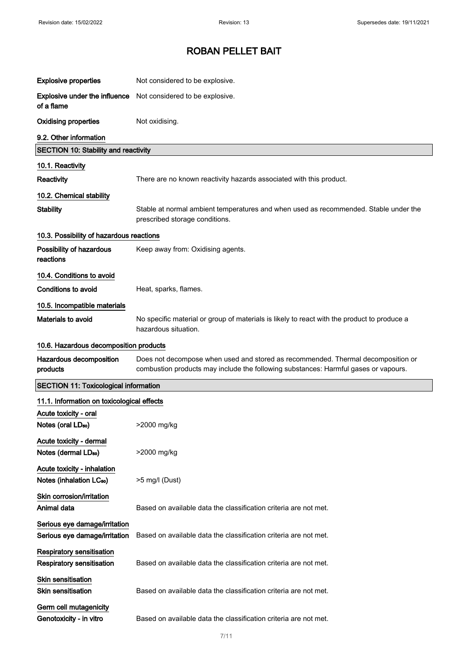| <b>Explosive properties</b>                                          | Not considered to be explosive.                                                                                                                                         |
|----------------------------------------------------------------------|-------------------------------------------------------------------------------------------------------------------------------------------------------------------------|
| Explosive under the influence<br>of a flame                          | Not considered to be explosive.                                                                                                                                         |
| <b>Oxidising properties</b>                                          | Not oxidising.                                                                                                                                                          |
| 9.2. Other information                                               |                                                                                                                                                                         |
| <b>SECTION 10: Stability and reactivity</b>                          |                                                                                                                                                                         |
| 10.1. Reactivity                                                     |                                                                                                                                                                         |
| Reactivity                                                           | There are no known reactivity hazards associated with this product.                                                                                                     |
| 10.2. Chemical stability                                             |                                                                                                                                                                         |
| <b>Stability</b>                                                     | Stable at normal ambient temperatures and when used as recommended. Stable under the<br>prescribed storage conditions.                                                  |
| 10.3. Possibility of hazardous reactions                             |                                                                                                                                                                         |
| Possibility of hazardous<br>reactions                                | Keep away from: Oxidising agents.                                                                                                                                       |
| 10.4. Conditions to avoid                                            |                                                                                                                                                                         |
| <b>Conditions to avoid</b>                                           | Heat, sparks, flames.                                                                                                                                                   |
| 10.5. Incompatible materials                                         |                                                                                                                                                                         |
| Materials to avoid                                                   | No specific material or group of materials is likely to react with the product to produce a<br>hazardous situation.                                                     |
| 10.6. Hazardous decomposition products                               |                                                                                                                                                                         |
| Hazardous decomposition<br>products                                  | Does not decompose when used and stored as recommended. Thermal decomposition or<br>combustion products may include the following substances: Harmful gases or vapours. |
| <b>SECTION 11: Toxicological information</b>                         |                                                                                                                                                                         |
| 11.1. Information on toxicological effects                           |                                                                                                                                                                         |
| Acute toxicity - oral                                                |                                                                                                                                                                         |
| Notes (oral LD <sub>50</sub> )                                       |                                                                                                                                                                         |
|                                                                      | >2000 mg/kg                                                                                                                                                             |
| Acute toxicity - dermal<br>Notes (dermal LD <sub>50</sub> )          | >2000 mg/kg                                                                                                                                                             |
| Acute toxicity - inhalation<br>Notes (inhalation LC <sub>50</sub> )  | >5 mg/l (Dust)                                                                                                                                                          |
| Skin corrosion/irritation<br>Animal data                             | Based on available data the classification criteria are not met.                                                                                                        |
| Serious eye damage/irritation<br>Serious eye damage/irritation       | Based on available data the classification criteria are not met.                                                                                                        |
| <b>Respiratory sensitisation</b><br><b>Respiratory sensitisation</b> | Based on available data the classification criteria are not met.                                                                                                        |
| Skin sensitisation<br><b>Skin sensitisation</b>                      | Based on available data the classification criteria are not met.                                                                                                        |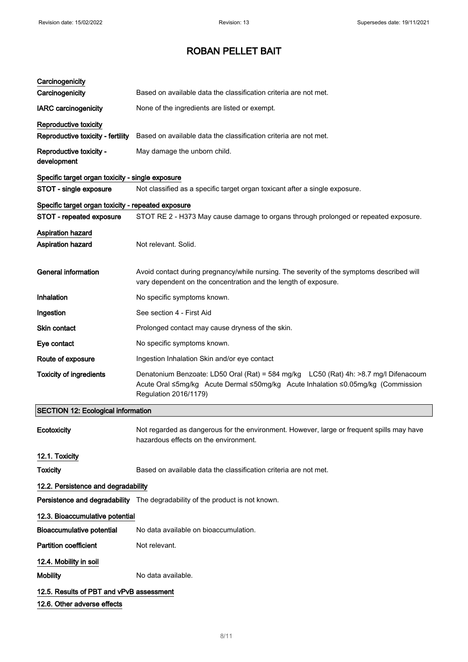| Carcinogenicity                                    |                                                                                                                                                                                                   |  |
|----------------------------------------------------|---------------------------------------------------------------------------------------------------------------------------------------------------------------------------------------------------|--|
| Carcinogenicity                                    | Based on available data the classification criteria are not met.                                                                                                                                  |  |
| <b>IARC</b> carcinogenicity                        | None of the ingredients are listed or exempt.                                                                                                                                                     |  |
| Reproductive toxicity                              |                                                                                                                                                                                                   |  |
| Reproductive toxicity - fertility                  | Based on available data the classification criteria are not met.                                                                                                                                  |  |
| Reproductive toxicity -<br>development             | May damage the unborn child.                                                                                                                                                                      |  |
| Specific target organ toxicity - single exposure   |                                                                                                                                                                                                   |  |
| STOT - single exposure                             | Not classified as a specific target organ toxicant after a single exposure.                                                                                                                       |  |
| Specific target organ toxicity - repeated exposure |                                                                                                                                                                                                   |  |
| STOT - repeated exposure                           | STOT RE 2 - H373 May cause damage to organs through prolonged or repeated exposure.                                                                                                               |  |
| Aspiration hazard<br>Aspiration hazard             | Not relevant. Solid.                                                                                                                                                                              |  |
| <b>General information</b>                         | Avoid contact during pregnancy/while nursing. The severity of the symptoms described will<br>vary dependent on the concentration and the length of exposure.                                      |  |
| Inhalation                                         | No specific symptoms known.                                                                                                                                                                       |  |
| Ingestion                                          | See section 4 - First Aid                                                                                                                                                                         |  |
| <b>Skin contact</b>                                | Prolonged contact may cause dryness of the skin.                                                                                                                                                  |  |
| Eye contact                                        | No specific symptoms known.                                                                                                                                                                       |  |
| Route of exposure                                  | Ingestion Inhalation Skin and/or eye contact                                                                                                                                                      |  |
| <b>Toxicity of ingredients</b>                     | Denatonium Benzoate: LD50 Oral (Rat) = 584 mg/kg LC50 (Rat) 4h: >8.7 mg/l Difenacoum<br>Acute Oral ≤5mg/kg Acute Dermal ≤50mg/kg Acute Inhalation ≤0.05mg/kg (Commission<br>Regulation 2016/1179) |  |
| <b>SECTION 12: Ecological information</b>          |                                                                                                                                                                                                   |  |
| Ecotoxicity                                        | Not regarded as dangerous for the environment. However, large or frequent spills may have<br>hazardous effects on the environment.                                                                |  |
| 12.1. Toxicity                                     |                                                                                                                                                                                                   |  |
| <b>Toxicity</b>                                    | Based on available data the classification criteria are not met.                                                                                                                                  |  |
| 12.2. Persistence and degradability                |                                                                                                                                                                                                   |  |
|                                                    | Persistence and degradability The degradability of the product is not known.                                                                                                                      |  |
| 12.3. Bioaccumulative potential                    |                                                                                                                                                                                                   |  |
| <b>Bioaccumulative potential</b>                   | No data available on bioaccumulation.                                                                                                                                                             |  |
| <b>Partition coefficient</b>                       | Not relevant.                                                                                                                                                                                     |  |
| 12.4. Mobility in soil                             |                                                                                                                                                                                                   |  |
| <b>Mobility</b>                                    | No data available.                                                                                                                                                                                |  |
| 12.5. Results of PBT and vPvB assessment           |                                                                                                                                                                                                   |  |
| 12.6. Other adverse effects                        |                                                                                                                                                                                                   |  |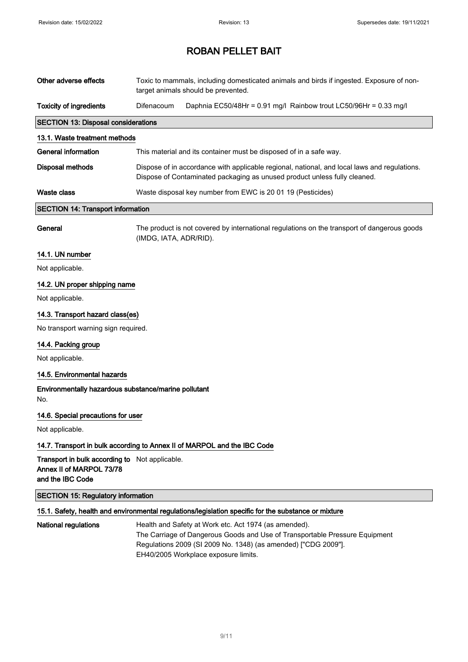| Other adverse effects                                                                          |                                                                                                                                                                           | Toxic to mammals, including domesticated animals and birds if ingested. Exposure of non-<br>target animals should be prevented.                                                                        |  |  |
|------------------------------------------------------------------------------------------------|---------------------------------------------------------------------------------------------------------------------------------------------------------------------------|--------------------------------------------------------------------------------------------------------------------------------------------------------------------------------------------------------|--|--|
| <b>Toxicity of ingredients</b>                                                                 | Difenacoum                                                                                                                                                                | Daphnia EC50/48Hr = 0.91 mg/l Rainbow trout LC50/96Hr = 0.33 mg/l                                                                                                                                      |  |  |
| <b>SECTION 13: Disposal considerations</b>                                                     |                                                                                                                                                                           |                                                                                                                                                                                                        |  |  |
| 13.1. Waste treatment methods                                                                  |                                                                                                                                                                           |                                                                                                                                                                                                        |  |  |
| <b>General information</b>                                                                     | This material and its container must be disposed of in a safe way.                                                                                                        |                                                                                                                                                                                                        |  |  |
| <b>Disposal methods</b>                                                                        | Dispose of in accordance with applicable regional, national, and local laws and regulations.<br>Dispose of Contaminated packaging as unused product unless fully cleaned. |                                                                                                                                                                                                        |  |  |
| <b>Waste class</b>                                                                             |                                                                                                                                                                           | Waste disposal key number from EWC is 20 01 19 (Pesticides)                                                                                                                                            |  |  |
| <b>SECTION 14: Transport information</b>                                                       |                                                                                                                                                                           |                                                                                                                                                                                                        |  |  |
| General                                                                                        | The product is not covered by international regulations on the transport of dangerous goods<br>(IMDG, IATA, ADR/RID).                                                     |                                                                                                                                                                                                        |  |  |
| 14.1. UN number                                                                                |                                                                                                                                                                           |                                                                                                                                                                                                        |  |  |
| Not applicable.                                                                                |                                                                                                                                                                           |                                                                                                                                                                                                        |  |  |
| 14.2. UN proper shipping name                                                                  |                                                                                                                                                                           |                                                                                                                                                                                                        |  |  |
| Not applicable.                                                                                |                                                                                                                                                                           |                                                                                                                                                                                                        |  |  |
| 14.3. Transport hazard class(es)                                                               |                                                                                                                                                                           |                                                                                                                                                                                                        |  |  |
| No transport warning sign required.                                                            |                                                                                                                                                                           |                                                                                                                                                                                                        |  |  |
| 14.4. Packing group                                                                            |                                                                                                                                                                           |                                                                                                                                                                                                        |  |  |
| Not applicable.                                                                                |                                                                                                                                                                           |                                                                                                                                                                                                        |  |  |
| 14.5. Environmental hazards                                                                    |                                                                                                                                                                           |                                                                                                                                                                                                        |  |  |
| Environmentally hazardous substance/marine pollutant<br>No.                                    |                                                                                                                                                                           |                                                                                                                                                                                                        |  |  |
| 14.6. Special precautions for user                                                             |                                                                                                                                                                           |                                                                                                                                                                                                        |  |  |
| Not applicable.                                                                                |                                                                                                                                                                           |                                                                                                                                                                                                        |  |  |
| 14.7. Transport in bulk according to Annex II of MARPOL and the IBC Code                       |                                                                                                                                                                           |                                                                                                                                                                                                        |  |  |
| Transport in bulk according to Not applicable.<br>Annex II of MARPOL 73/78<br>and the IBC Code |                                                                                                                                                                           |                                                                                                                                                                                                        |  |  |
| <b>SECTION 15: Regulatory information</b>                                                      |                                                                                                                                                                           |                                                                                                                                                                                                        |  |  |
|                                                                                                |                                                                                                                                                                           | 15.1. Safety, health and environmental regulations/legislation specific for the substance or mixture                                                                                                   |  |  |
| <b>National regulations</b>                                                                    |                                                                                                                                                                           | Health and Safety at Work etc. Act 1974 (as amended).<br>The Carriage of Dangerous Goods and Use of Transportable Pressure Equipment<br>Regulations 2009 (SI 2009 No. 1348) (as amended) ["CDG 2009"]. |  |  |

EH40/2005 Workplace exposure limits.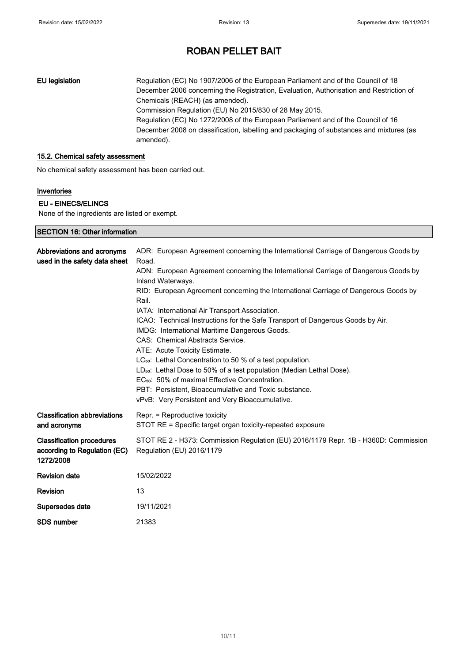EU legislation Regulation (EC) No 1907/2006 of the European Parliament and of the Council of 18 December 2006 concerning the Registration, Evaluation, Authorisation and Restriction of Chemicals (REACH) (as amended). Commission Regulation (EU) No 2015/830 of 28 May 2015. Regulation (EC) No 1272/2008 of the European Parliament and of the Council of 16 December 2008 on classification, labelling and packaging of substances and mixtures (as amended).

### 15.2. Chemical safety assessment

No chemical safety assessment has been carried out.

### Inventories

## EU - EINECS/ELINCS

None of the ingredients are listed or exempt.

| <b>SECTION 16: Other information</b>                                          |                                                                                                                                                                                                                                                                                                                                                                                                                                                                                                                                                                                                        |  |  |
|-------------------------------------------------------------------------------|--------------------------------------------------------------------------------------------------------------------------------------------------------------------------------------------------------------------------------------------------------------------------------------------------------------------------------------------------------------------------------------------------------------------------------------------------------------------------------------------------------------------------------------------------------------------------------------------------------|--|--|
| Abbreviations and acronyms<br>used in the safety data sheet                   | ADR: European Agreement concerning the International Carriage of Dangerous Goods by<br>Road.<br>ADN: European Agreement concerning the International Carriage of Dangerous Goods by<br>Inland Waterways.<br>RID: European Agreement concerning the International Carriage of Dangerous Goods by                                                                                                                                                                                                                                                                                                        |  |  |
|                                                                               | Rail.<br>IATA: International Air Transport Association.<br>ICAO: Technical Instructions for the Safe Transport of Dangerous Goods by Air.<br>IMDG: International Maritime Dangerous Goods.<br>CAS: Chemical Abstracts Service.<br>ATE: Acute Toxicity Estimate.<br>LC <sub>50</sub> : Lethal Concentration to 50 % of a test population.<br>LD <sub>50</sub> : Lethal Dose to 50% of a test population (Median Lethal Dose).<br>EC <sub>50</sub> : 50% of maximal Effective Concentration.<br>PBT: Persistent, Bioaccumulative and Toxic substance.<br>vPvB: Very Persistent and Very Bioaccumulative. |  |  |
| <b>Classification abbreviations</b><br>and acronyms                           | Repr. = Reproductive toxicity<br>STOT RE = Specific target organ toxicity-repeated exposure                                                                                                                                                                                                                                                                                                                                                                                                                                                                                                            |  |  |
| <b>Classification procedures</b><br>according to Regulation (EC)<br>1272/2008 | STOT RE 2 - H373: Commission Regulation (EU) 2016/1179 Repr. 1B - H360D: Commission<br>Regulation (EU) 2016/1179                                                                                                                                                                                                                                                                                                                                                                                                                                                                                       |  |  |
| <b>Revision date</b>                                                          | 15/02/2022                                                                                                                                                                                                                                                                                                                                                                                                                                                                                                                                                                                             |  |  |
| <b>Revision</b>                                                               | 13                                                                                                                                                                                                                                                                                                                                                                                                                                                                                                                                                                                                     |  |  |
| Supersedes date                                                               | 19/11/2021                                                                                                                                                                                                                                                                                                                                                                                                                                                                                                                                                                                             |  |  |
| <b>SDS number</b>                                                             | 21383                                                                                                                                                                                                                                                                                                                                                                                                                                                                                                                                                                                                  |  |  |